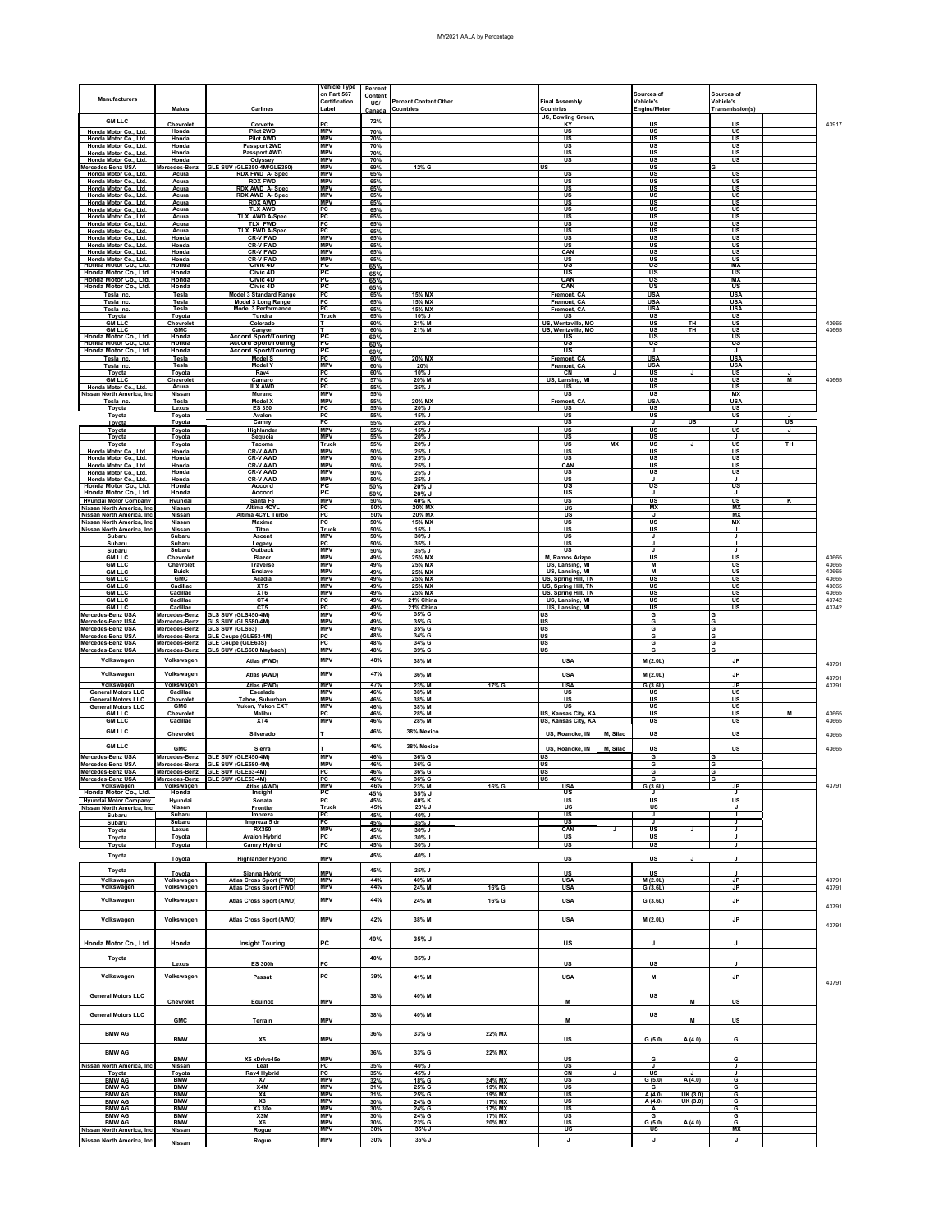## MY2021 AALA by Percentage

| Manufacturers                                                                            | <b>Makes</b>                   | Carlines                                                              | /ehicle Type<br>on Part 567<br>Certification<br>Label | Percent<br>Content<br>US/ | Percent Content Other<br>Countries |                  | <b>Final Assembly</b><br>Countries         |              | Sources of<br>Vehicle's<br>Engine/Motor |                        | Sources of<br>Vehicle's<br>Transmission(s) |                                |                |
|------------------------------------------------------------------------------------------|--------------------------------|-----------------------------------------------------------------------|-------------------------------------------------------|---------------------------|------------------------------------|------------------|--------------------------------------------|--------------|-----------------------------------------|------------------------|--------------------------------------------|--------------------------------|----------------|
| <b>GM LLC</b>                                                                            | Chevrolet                      | Corvette                                                              | PC                                                    | <b>Canad</b><br>72%       |                                    |                  | US, Bowling Green<br>KY                    |              | US                                      |                        | US                                         |                                | 43917          |
| Honda Motor Co., Ltd.                                                                    | Honda                          | Pilot 2WD                                                             | <b>MPV</b>                                            | 70%                       |                                    |                  | US                                         |              | US                                      |                        | US                                         |                                |                |
| Honda Motor Co., Ltd.<br>Honda Motor Co., Ltd.                                           | Honda<br>Honda                 | <b>Pilot AWD</b><br>Passport 2WD                                      | <b>MPV</b><br><b>MPV</b>                              | 70%<br>70%                |                                    |                  | US<br>US                                   |              | US<br>US                                |                        | US<br>US                                   |                                |                |
| Honda Motor Co., Ltd.<br>Honda Motor Co., Ltd.                                           | Honda<br>Honda                 | <b>Passport AWD</b><br>Odyssey                                        | <b>MPV</b><br><b>MPV</b>                              | 70%<br>70%                |                                    |                  | US<br>US                                   |              | US<br>US                                |                        | US<br>US                                   |                                |                |
| Mercedes-Benz USA<br>Honda Motor Co., Ltd.                                               | Mercedes-Benz<br>Acura         | GLE SUV (GLE350-4M/GLE350)<br><b>RDX FWD A-Spec</b>                   | <b>MPV</b><br><b>MPV</b>                              | 69%<br>65%                | 12% G                              |                  | US<br>US                                   |              | US<br>US                                |                        | <b>US</b>                                  |                                |                |
| Honda Motor Co., Ltd.<br>Honda Motor Co., Ltd.                                           | Acura<br>Acura                 | <b>RDX FWD</b><br><b>RDX AWD A-Spec</b>                               | MPV<br><b>MPV</b>                                     | 65%<br>65%                |                                    |                  | US<br>US                                   |              | US<br>US                                |                        | <u>US</u><br>US                            |                                |                |
| Honda Motor Co., Ltd.                                                                    | Acura<br>Acura                 | <b>RDX AWD A-Spec</b><br><b>RDX AWD</b>                               | <b>MPV</b><br><b>MPV</b>                              | 65%                       |                                    |                  | US<br>US                                   |              | US<br>US                                |                        | US<br>US                                   |                                |                |
| Honda Motor Co., Ltd.<br>Honda Motor Co., Ltd.                                           | Acura                          | <b>TLX AWD</b>                                                        | PC                                                    | 65%<br>65%                |                                    |                  | US                                         |              | US                                      |                        | <b>US</b>                                  |                                |                |
| Honda Motor Co., Ltd.<br>Honda Motor Co., Ltd.                                           | Acura<br>Acura                 | <b>TLX AWD A-Sper</b><br><b>TLX FWD</b>                               | РC<br>PC                                              | 65%<br>65%                |                                    |                  | US<br><u>US</u>                            |              | US<br><u>US</u>                         |                        | <u>US</u><br><u>US</u>                     |                                |                |
| Honda Motor Co., Ltd.<br>Honda Motor Co., Ltd.                                           | Acura<br>Honda                 | <b>TLX FWD A-Spec</b><br><b>CR-V FWD</b>                              | РC<br><b>MPV</b>                                      | 65%<br>65%                |                                    |                  | <u>US</u><br>US                            |              | <u>US</u><br>US                         |                        | <u>US</u><br>US                            |                                |                |
| Honda Motor Co., Ltd.<br>Honda Motor Co., Ltd.                                           | Honda<br>Honda                 | CR-V FWD<br><b>CR-V FWD</b>                                           | <b>MPV</b><br><b>MPV</b>                              | 65%<br>65%                |                                    |                  | <b>US</b><br>CAN                           |              | US<br>US                                |                        | US<br>US                                   |                                |                |
| Honda Motor Co., Ltd.<br>Honda Motor Co., Ltd.                                           | Honda<br>Honda                 | CR-V FWD<br>Civic 4D                                                  | wPV<br>PC                                             | 65%<br>65%                |                                    |                  | US                                         |              | US                                      |                        | US<br>MX                                   |                                |                |
| Honda Motor Co., Ltd.<br>Honda Motor Co., Ltd.                                           | Honda<br>Honda                 | Civic 4D<br>Civic 4D                                                  | эc<br>PC                                              | 65%<br>65%                |                                    |                  | τUS<br>CAN                                 |              | US<br>US                                |                        | US<br><b>MX</b>                            |                                |                |
| Honda Motor Co., Ltd.<br>Tesla Inc.                                                      | Honda<br>Tesla                 | Civic 4D<br>Model 3 Standard Range                                    | РC<br>PC                                              | 65%<br>65%                | 15% MX                             |                  | CAN<br>Fremont. CA                         |              | US<br><b>USA</b>                        |                        | US<br><b>USA</b>                           |                                |                |
| <b>Tesla Inc</b><br><b>Tesla Inc</b>                                                     | Tesla<br>Tesla                 | Model 3 Long Range<br><b>Model 3 Performance</b>                      | эc<br>۰c                                              | 65%<br>65%                | 15% MX<br>15% MX                   |                  | Fremont, CA<br>Fremont, CA                 |              | <b>USA</b><br><b>USA</b>                |                        | <b>USA</b><br><b>USA</b>                   |                                |                |
| Toyota<br><b>GM LLC</b>                                                                  | Toyota<br>Chevrolet            | Tundra<br>Colorado                                                    | Truck                                                 | 65%<br>60%                | 10% J<br>21% M                     |                  | US<br>US, Wentzville, MO                   |              | US<br>US                                | TH                     | US<br>US                                   |                                | 43665          |
| <b>GM LLC</b><br>Honda Motor Co., Ltd.                                                   | <b>GMC</b><br>Honda            | Canyon<br><b>Accord Sport/Touring</b>                                 | œ                                                     | 60%                       | 21% M                              |                  | US, Wentzville, MO<br>τıs                  |              | US<br>US                                | TН                     | US<br>US                                   |                                | 43665          |
| Honda Motor Co., Ltd.<br>Honda Motor Co., Ltd.                                           | Honda<br>Honda                 | <b>Accord Sport/Touring</b>                                           | PC<br>РC                                              | 60%<br>60%                |                                    |                  | US<br>US                                   |              | US<br>J                                 |                        | US<br>J                                    |                                |                |
| <b>Tesla Inc.</b>                                                                        | Tesla                          | <b>Accord Sport/Touring</b><br><b>Model S</b>                         | эc                                                    | 60%<br>60%                | 20% MX                             |                  | Fremont, CA                                |              | <b>USA</b>                              |                        | <b>USA</b>                                 |                                |                |
| <b>Tesla Inc</b><br>Tovota                                                               | Tesla<br>Toyota                | <b>Model Y</b><br>Ray4                                                | <b>MPV</b><br>PC                                      | 60%<br>60%                | 20%<br>10% J                       |                  | Fremont, CA<br>CN                          | J            | <b>USA</b><br>US                        | J                      | <b>USA</b><br>US                           | J.                             |                |
| <b>GM LLC</b><br>Honda Motor Co., Ltd.                                                   | Chevrolet<br>Acura             | Camaro<br><b>ILX AWD</b>                                              | РC<br>PC                                              | 57%<br>55%                | 20% M<br>25% J                     |                  | US, Lansing, MI<br>US                      |              | <b>US</b><br>US                         |                        | US<br><b>US</b>                            | W                              | 43665          |
| Nissan North America, Inc.<br>Tesla Inc.                                                 | Nissan<br>Tesla                | Murano<br><b>Model X</b>                                              | <b>MPV</b><br><b>MPV</b>                              | 55%<br>55%                | 20% MX                             |                  | <u>US</u><br>Fremont, CA                   |              | <u>US</u><br><b>USA</b>                 |                        | <b>MX</b><br><b>USA</b>                    |                                |                |
| Toyota<br>Toyota                                                                         | Lexus<br>Toyota                | <b>ES 350</b><br>Avalon                                               | PC<br>PC                                              | 55%<br>55%                | 20% J<br>15% J                     |                  | US<br>us                                   |              | US<br>US                                |                        | <b>US</b><br>US                            | $\mathbf{I}$                   |                |
| Toyota<br>Toyota                                                                         | Toyota<br>Toyota               | Camry<br>Highlander                                                   | PC<br><b>MPV</b>                                      | 55%<br>55%                | 20% J<br>15% J                     |                  | US<br>US                                   |              | J<br>US                                 | US                     | J<br>US                                    | $\overline{\mathsf{u}}$ s<br>J |                |
| Tovota<br>Toyota                                                                         | Toyota<br>Toyota               | Sequoia<br>Tacoma                                                     | <b>MPV</b><br>Truck                                   | 55%<br>55%                | 20% J<br>20% J                     |                  | US<br>US                                   | МX           | US<br>US                                | J                      | J<br>US                                    | TH                             |                |
| Honda Motor Co., Ltd.<br>Honda Motor Co., Ltd.                                           | Honda<br>Honda                 | <b>CR-V AWD</b><br><b>CR-V AWD</b>                                    | <b>MPV</b><br><b>MPV</b>                              | 50%<br>50%                | 25% J<br>25% J                     |                  | US<br><b>US</b>                            |              | US<br>US                                |                        | US<br>US                                   |                                |                |
| Honda Motor Co., Ltd.<br>Honda Motor Co., Ltd.                                           | Honda<br>Honda                 | <b>CR-V AWD</b><br><b>CR-V AWD</b>                                    | <b>MPV</b><br><b>MPV</b>                              | 50%<br>50%                | 25% J<br>25% J                     |                  | CAN<br>US                                  |              | US<br>US                                |                        | US<br>US                                   |                                |                |
| Honda Motor Co., Ltd.<br>Honda Motor Co., Ltd.                                           | Honda<br>Honda                 | CR-V AWD<br>Accord                                                    | <b>MPV</b><br>РC                                      | 50%<br>50%                | 25% J<br>20% J                     |                  | US<br>πs                                   |              | US                                      |                        | US                                         |                                |                |
| Honda Motor Co., Ltd.                                                                    | Honda                          | Accord<br>Santa Fe                                                    | РC<br><b>MPV</b>                                      | 50%                       | $20\%$ J<br>40% K                  |                  | US<br>US                                   |              | J<br>US                                 |                        | J                                          | κ                              |                |
| <b>Hyundai Motor Company</b><br>Nissan North America, Inc.<br>Nissan North America, Inc. | Hyundai<br>Nissan              | Altima 4CYI<br>Altima 4CYL Turbo                                      | PC<br>PC                                              | 50%<br>50%<br>50%         | 20% MX<br>20% MX                   |                  | US<br>US                                   |              | MX<br>J                                 |                        | US<br>MX<br><b>MX</b>                      |                                |                |
| Nissan North America. Inc.                                                               | Nissan<br>Nissan               | Maxima                                                                | PC                                                    | 50%                       | 15% MX                             |                  | US                                         |              | <b>US</b>                               |                        | <b>MX</b>                                  |                                |                |
| Nissan North America, Inc.<br>Subaru                                                     | Nissan<br>Subaru               | Titan<br>Ascent                                                       | Truck<br><b>MPV</b>                                   | 50%<br>50%                | 15% J<br>30% J                     |                  | US<br>US                                   |              | US<br>J                                 |                        | J<br>J                                     |                                |                |
| Subaru<br>Subaru                                                                         | Subaru<br>Subaru               | Legacy<br>Outback                                                     | PC<br><b>MPV</b>                                      | 50%<br>50%                | 35% J<br>35% J                     |                  | <u>US</u><br>US                            |              | $\mathbf{I}$<br>J                       |                        | J<br>J                                     |                                |                |
| <b>GM LLC</b><br><b>GM LLC</b>                                                           | Chevrolet<br>Chevrolet         | Blazer<br>Traverse                                                    | <b>MPV</b><br><b>MPV</b>                              | 49%<br>49%                | 25% MX<br>25% MX                   |                  | M, Ramos Arizpe<br>US, Lansing, MI         |              | US<br>м                                 |                        | US<br>US                                   |                                | 43665<br>43665 |
| <b>GM LLC</b><br><b>GM LLC</b>                                                           | <b>Buick</b><br><b>GMC</b>     | Enclave<br>Acadia                                                     | <b>MPV</b><br><b>MPV</b>                              | 49%<br>49%                | 25% MX<br>25% MX                   |                  | US, Lansing, MI<br>US, Spring Hill, TN     |              | M<br>US                                 |                        | US<br><b>US</b>                            |                                | 43665<br>43665 |
| <b>GM LLC</b><br><b>GM LLC</b>                                                           | Cadillac<br>Cadillac           | XT5<br>XT6                                                            | MPV<br>MPV                                            | 49%<br>49%                | 25% MX<br>25% MX                   |                  | US, Spring Hill, TN<br>US, Spring Hill, TN |              | <u>US</u><br>US                         |                        | <u>US</u><br>US                            |                                | 43665<br>43665 |
| <b>GM LLC</b><br><b>GM LLC</b>                                                           | Cadillac<br>Cadillac           | CT4<br>CT5                                                            | PC<br>PC                                              | 49%<br>49%                | 21% China<br>21% China             |                  | US, Lansing, MI<br>US, Lansing, MI         |              | US<br>US                                |                        | US<br>US                                   |                                | 43742<br>43742 |
| Mercedes-Benz USA<br>Mercedes-Benz USA                                                   | Mercedes-Benz<br>Mercedes-Benz | GLS SUV (GLS450-4M)<br>GLS SUV (GLS580-4M)                            | <b>MPV</b><br><b>MPV</b>                              | 49%<br>49%                | 35% G<br>35% G                     |                  | US<br><b>US</b>                            |              | G<br>G                                  |                        |                                            |                                |                |
| Mercedes-Benz USA<br>Mercedes-Benz USA                                                   | Mercedes-Benz<br>Mercedes-Benz | GLS SUV (GLS63)<br>GLE Coupe (GLE53-4M)                               | <b>MPV</b><br>PC                                      | 49%<br>48%                | 35% G<br>34% G                     |                  | US<br>US                                   |              | G<br>G                                  |                        |                                            |                                |                |
| Mercedes-Benz USA<br><b>Mercedes-Benz USA</b>                                            | Mercedes-Benz<br>Mercedes-Benz | GLE Coupe (GLE63S)<br>GLS SUV (GLS600 Mavbach)                        | PC<br><b>MPV</b>                                      | 48%<br>48%                | 34% G<br>39% G                     |                  | US<br>US                                   |              | G<br>G                                  |                        |                                            |                                |                |
| Volkswagen                                                                               | Volkswagen                     | Atlas (FWD)                                                           | <b>MPV</b>                                            | 48%                       | 38% M                              |                  | <b>USA</b>                                 |              | M (2.0L)                                |                        | JP                                         |                                | 43791          |
| Volkswagen                                                                               | Volkswagen                     | Atlas (AWD)                                                           | <b>MPV</b>                                            | 47%                       | 36% M                              |                  | <b>USA</b>                                 |              | M (2.0L)                                |                        | JP                                         |                                | 43791          |
| Volkswagen<br><b>General Motors LLC</b>                                                  | Volkswagen<br>Cadillac         | Atlas (FWD)<br>Escalade                                               | MPV<br><b>MPV</b>                                     | 47%<br>46%                | 23% M<br>38% M                     | 17% G            | <b>USA</b><br>US                           |              | G(3.6L)<br>US                           |                        | JP<br><b>US</b>                            |                                | 43791          |
| <b>General Motors LLC</b><br><b>General Motors LLC</b>                                   | Chevrolet<br><b>GMC</b>        | Tahoe, Suburban<br>Yukon, Yukon EXT                                   | <b>MPV</b><br><b>MPV</b>                              | 46%<br>46%                | 38% M<br>38% M                     |                  | US<br><u>US</u>                            |              | <b>US</b><br><u>US</u>                  |                        | <b>US</b><br><u>US</u>                     |                                |                |
| <b>GM LLC</b><br><b>GM LLC</b>                                                           | Chevrolet<br>Cadillac          | Malibu<br>XT4                                                         | PC<br><b>MPV</b>                                      | 46%<br>46%                | 28% M<br>28% M                     |                  | US, Kansas City, KA<br>US, Kansas City, KA |              | <u>US</u><br>US                         |                        | <u>US</u><br>US                            | м                              | 43665<br>43665 |
| <b>GM LLC</b>                                                                            | Chevrolet                      | Silverado                                                             |                                                       | 46%                       | 38% Mexico                         |                  | US, Roanoke, IN                            | M. Silao     | US                                      |                        | US                                         |                                | 43665          |
| <b>GM LLC</b>                                                                            | <b>GMC</b>                     | Sierra                                                                |                                                       | 46%                       | 38% Mexico                         |                  | US, Roanoke, IN                            | M. Silao     | <b>US</b>                               |                        | US                                         |                                | 43665          |
| Mercedes-Benz USA                                                                        | Mercedes-Benz                  | GLE SUV (GLE450-4M)                                                   | <b>MPV</b>                                            | 46%                       | 36% G                              |                  |                                            |              | G                                       |                        |                                            |                                |                |
| Mercedes-Benz USA<br>Mercedes-Benz USA                                                   |                                | Mercedes-Benz GLE SUV (GLE580-4M)<br>Mercedes-Benz GLE SUV (GLE63-4M) | <b>MPV</b><br>PC                                      | 46%<br>46%                | 36% G<br>36% G                     |                  | US<br>US                                   |              | G<br>G                                  |                        | l G                                        |                                |                |
| Mercedes-Benz USA<br>Volkswagen                                                          | Volkswagen                     | Mercedes-Benz GLE SUV (GLE53-4M)<br>Atlas (AWD)                       | <b>PC</b><br><b>MPV</b>                               | 46%<br>46%                | 36% G<br>23% M                     | 16% G            | <b>US</b><br><u>USA</u>                    |              | G<br>G(3.6L)                            |                        | JP                                         |                                | 43791          |
| Honda Motor Co., Ltd.<br><b>Hyundai Motor Company</b>                                    | Honda<br>Hyundai               | Insight<br>Sonata                                                     | PC<br>PC                                              | 45%<br>45%                | 35% J<br>40% K                     |                  | US                                         |              | J<br>US                                 |                        | J<br>US                                    |                                |                |
| Nissan North America, Inc.<br>Subaru                                                     | Nissan<br>Subaru               | Frontier<br>Impreza                                                   | Truck<br>$P$ C                                        | 45%<br>45%                | 20% J<br>40% J                     |                  | US<br>US                                   |              | US<br>J                                 |                        | J                                          |                                |                |
| Subaru<br>Toyota                                                                         | Subaru<br>Lexus                | Impreza 5 dr<br><b>RX350</b>                                          | PC<br><b>MPV</b>                                      | 45%<br>45%                | 35% J<br>30% J                     |                  | US<br>CAN                                  | J            | J<br>US                                 | J                      | J<br>J                                     |                                |                |
| Toyota<br>Toyota                                                                         | Toyota<br>Toyota               | <b>Avalon Hybrid</b><br><b>Camry Hybrid</b>                           | PC<br>PC                                              | 45%<br>45%                | 30% J<br>30% J                     |                  | US<br>US                                   |              | <b>US</b><br>US                         |                        | J<br>J                                     |                                |                |
| Toyota                                                                                   | Toyota                         | <b>Highlander Hybrid</b>                                              | MPV                                                   | 45%                       | 40% J                              |                  | US                                         |              | US                                      |                        | J                                          |                                |                |
| Toyota                                                                                   | Toyota                         | Sienna Hybrid                                                         | MPV                                                   | 45%                       | 25% J                              |                  | <b>US</b>                                  |              | US                                      |                        |                                            |                                |                |
| Volkswagen<br>Volkswagen                                                                 | Volkswagen<br>Volkswagen       | Atlas Cross Sport (FWD)<br>Atlas Cross Sport (FWD)                    | <b>MPV</b><br><b>MPV</b>                              | 44%<br>44%                | 40% M<br>24% M                     | 16% G            | <b>USA</b><br><b>USA</b>                   |              | M (2.0L)<br>G(3.6L)                     |                        | <b>JP</b><br>JP                            |                                | 43791<br>43791 |
| Volkswagen                                                                               | Volkswagen                     | Atlas Cross Sport (AWD)                                               | <b>MPV</b>                                            | 44%                       | 24% M                              | 16% G            | <b>USA</b>                                 |              | G(3.6L)                                 |                        | JP                                         |                                |                |
|                                                                                          |                                |                                                                       |                                                       |                           |                                    |                  |                                            |              |                                         |                        |                                            |                                | 43791          |
| Volkswagen                                                                               | Volkswagen                     | Atlas Cross Sport (AWD)                                               | MPV                                                   | 42%                       | 38% M                              |                  | <b>USA</b>                                 |              | M (2.0L)                                |                        | JP                                         |                                | 43791          |
| Honda Motor Co., Ltd.                                                                    | Honda                          | <b>Insight Touring</b>                                                | PC                                                    | 40%                       | 35% J                              |                  | US                                         |              |                                         |                        | J                                          |                                |                |
| Toyota                                                                                   |                                |                                                                       |                                                       | 40%                       | 35% J                              |                  |                                            |              |                                         |                        |                                            |                                |                |
|                                                                                          | Lexus                          | <b>ES 300h</b>                                                        | PC                                                    |                           |                                    |                  | US                                         |              | US                                      |                        |                                            |                                |                |
| Volkswagen                                                                               | Volkswagen                     | Passat                                                                | PC                                                    | 39%                       | 41% M                              |                  | <b>USA</b>                                 |              | м                                       |                        | JP                                         |                                | 43791          |
| <b>General Motors LLC</b>                                                                |                                |                                                                       | MPV                                                   | 38%                       | 40% M                              |                  | M                                          |              | US                                      | M                      |                                            |                                |                |
| <b>General Motors LLC</b>                                                                | Chevrolet                      | Equinox                                                               |                                                       | 38%                       | 40% M                              |                  |                                            |              | US                                      |                        | US                                         |                                |                |
|                                                                                          | <b>GMC</b>                     | Terrain                                                               | <b>MPV</b>                                            |                           |                                    |                  |                                            |              |                                         | M                      | <b>US</b>                                  |                                |                |
| <b>BMW AG</b>                                                                            | <b>BMW</b>                     | X <sub>5</sub>                                                        | <b>MPV</b>                                            | 36%                       | 33% G                              | 22% MX           | US                                         |              | G(5.0)                                  | A (4.0)                | G                                          |                                |                |
| <b>BMW AG</b>                                                                            |                                |                                                                       |                                                       | 36%                       | 33% G                              | 22% MX           |                                            |              |                                         |                        |                                            |                                |                |
| Nissan North America. Inc                                                                | <b>BMW</b><br>Nissan           | X5 xDrive45e<br>Leaf                                                  | <b>MPV</b><br>PC.                                     | 35%                       | 40% J                              |                  | US<br><b>US</b>                            |              | G<br>$\mathbf{J}$                       |                        | G<br>J                                     |                                |                |
| Toyota<br><b>BMW AG</b>                                                                  | Toyota<br><b>BMW</b>           | Rav4 Hybrid<br>X7                                                     | PC.<br>MPV                                            | 35%<br>32%                | 45% J<br>18% G                     | 24% MX           | CN<br>US                                   | $\mathbf{J}$ | US<br>G(5.0)                            | $\mathbf{J}$<br>A(4.0) | $\mathbf{J}$<br>G                          |                                |                |
| <b>BMW AG</b><br><b>BMW AG</b>                                                           | <b>BMW</b><br><b>BMW</b>       | X4M<br>X <sub>4</sub>                                                 | <b>MPV</b><br><b>MPV</b>                              | 31%<br>31%                | 25% G<br>25% G                     | 19% MX<br>19% MX | <b>US</b><br><u>US</u>                     |              | G<br>A(4.0)                             | UK (3.0)               | G<br>G                                     |                                |                |
| <b>BMW AG</b><br><b>BMW AG</b>                                                           | <b>BMW</b><br><b>BMW</b>       | X3<br>X3 30e                                                          | MPV<br>MPV                                            | 30%<br>30%                | 24% G<br>24% G                     | 17% MX<br>17% MX | US<br>US                                   |              | A(4.0)<br>$\mathbf{A}$                  | UK (3.0)               | G<br>G                                     |                                |                |
| <b>BMW AG</b><br><b>BMW AG</b>                                                           | <b>BMW</b><br><b>BMW</b>       | X3M<br>X6                                                             | MPV<br><b>MPV</b>                                     | 30%<br>30%                | 24% G<br>23% G                     | 17% MX<br>20% MX | US<br>US                                   |              | G<br>G(5.0)                             | A(4.0)                 | G<br>G                                     |                                |                |
| Nissan North America, Inc                                                                | Nissan                         | Rogue                                                                 | MPV                                                   | 30%                       | 35% J<br>35% J                     |                  | US                                         |              | US<br>$\mathsf{J}$                      |                        | <b>MX</b><br>J                             |                                |                |
| Nissan North America, Inc                                                                | Nissan                         | Rogue                                                                 | MPV                                                   | $30\%$                    |                                    |                  | J                                          |              |                                         |                        |                                            |                                |                |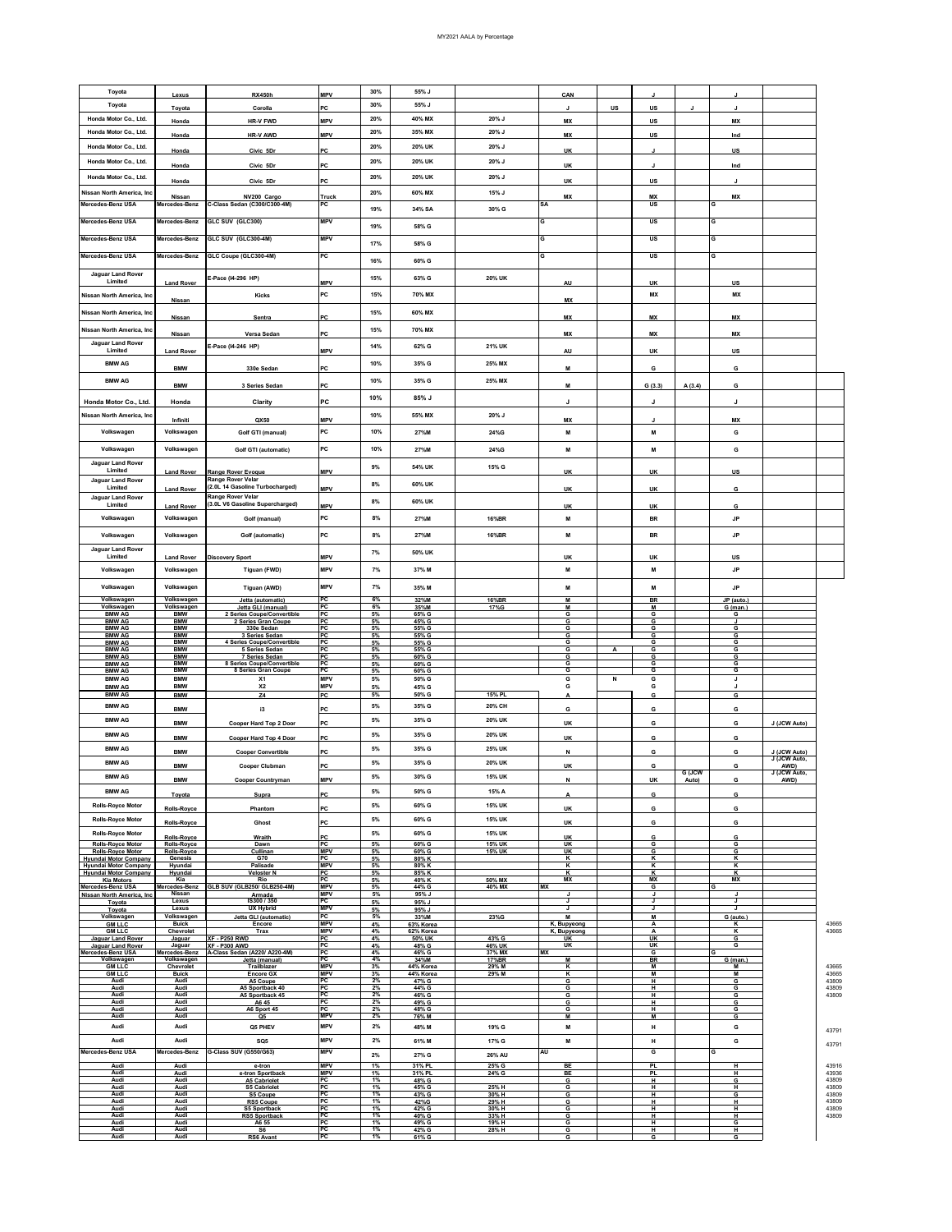| Toyota                                                       | Lexus                          | <b>RX450h</b>                                                       | MPV                      | 30%               | 55% J                  |                  | CAN               |    |           |            | J.            |                              |                                                                                                                                      |
|--------------------------------------------------------------|--------------------------------|---------------------------------------------------------------------|--------------------------|-------------------|------------------------|------------------|-------------------|----|-----------|------------|---------------|------------------------------|--------------------------------------------------------------------------------------------------------------------------------------|
| Toyota                                                       | Toyota                         | Corolla                                                             | PC.                      | 30%               | 55% J                  |                  |                   | US | US        |            |               |                              |                                                                                                                                      |
| Honda Motor Co., Ltd.                                        | Honda                          | <b>HR-V FWD</b>                                                     | WPV                      | 20%               | 40% MX                 | 20% J            | <b>MX</b>         |    | <b>US</b> |            | <b>MX</b>     |                              |                                                                                                                                      |
| Honda Motor Co., Ltd.                                        |                                |                                                                     |                          | 20%               | 35% MX                 | 20% J            |                   |    |           |            |               |                              |                                                                                                                                      |
|                                                              | Honda                          | HR-V AWD                                                            | MPV                      |                   |                        |                  | <b>MX</b>         |    | US        |            | Ind           |                              |                                                                                                                                      |
| Honda Motor Co., Ltd.                                        | Honda                          | Civic 5Dr                                                           | PC                       | 20%               | 20% UK                 | 20% J            | UK                |    | л         |            | US            |                              |                                                                                                                                      |
| Honda Motor Co., Ltd.                                        | Honda                          | Civic 5Dr                                                           | PC                       | 20%               | 20% UK                 | 20% J            | UK                |    |           |            | Ind           |                              |                                                                                                                                      |
| Honda Motor Co., Ltd.                                        |                                |                                                                     |                          | 20%               | 20% UK                 | 20% J            |                   |    |           |            |               |                              |                                                                                                                                      |
|                                                              | Honda                          | Civic 5Dr                                                           | <b>PC</b>                |                   |                        |                  | UK                |    | US        |            |               |                              |                                                                                                                                      |
| Nissan North America, Inc                                    | Nissan                         | NV200 Cargo                                                         | Truck                    | 20%               | 60% MX                 | 15% J            | M)                |    | <b>MX</b> |            | MX            |                              |                                                                                                                                      |
| Mercedes-Benz USA                                            | Mercedes-Benz                  | C-Class Sedan (C300/C300-4M)                                        | PC                       | 19%               | 34% SA                 | 30% G            | <b>SA</b>         |    | <b>US</b> |            | G             |                              |                                                                                                                                      |
| Mercedes-Benz USA                                            | Mercedes-Benz                  | GLC SUV (GLC300)                                                    | <b>MPV</b>               |                   |                        |                  | G                 |    | US        |            | G             |                              |                                                                                                                                      |
|                                                              |                                |                                                                     |                          | 19%               | 58% G                  |                  |                   |    |           |            |               |                              |                                                                                                                                      |
| Mercedes-Benz USA                                            | Mercedes-Benz                  | GLC SUV (GLC300-4M)                                                 | <b>MPV</b>               | 17%               | 58% G                  |                  | G                 |    | US        |            | G             |                              |                                                                                                                                      |
| Mercedes-Benz USA                                            | Mercedes-Benz                  | GLC Coupe (GLC300-4M)                                               | PC                       |                   |                        |                  | G                 |    | US        |            | G             |                              |                                                                                                                                      |
|                                                              |                                |                                                                     |                          | 16%               | 60% G                  |                  |                   |    |           |            |               |                              |                                                                                                                                      |
| <b>Jaguar Land Rover</b><br>Limited                          |                                | E-Pace (I4-296 HP)                                                  | MPV                      | 15%               | 63% G                  | 20% UK           |                   |    |           |            |               |                              |                                                                                                                                      |
|                                                              | <b>Land Rover</b>              |                                                                     |                          |                   |                        |                  | AU                |    | UK        |            | US            |                              |                                                                                                                                      |
| Nissan North America, Inc                                    | Nissan                         | Kicks                                                               | PC                       | 15%               | 70% MX                 |                  | MX                |    | <b>MX</b> |            | MX            |                              |                                                                                                                                      |
| Nissan North America, Inc                                    |                                |                                                                     |                          | 15%               | 60% MX                 |                  |                   |    |           |            |               |                              |                                                                                                                                      |
|                                                              | Nissan                         | Sentra                                                              | PC                       |                   |                        |                  | MX                |    | <b>MX</b> |            | MX            |                              |                                                                                                                                      |
| Nissan North America, Inc                                    | Nissan                         | Versa Sedan                                                         | PC                       | 15%               | 70% MX                 |                  | <b>MX</b>         |    | <b>MX</b> |            | <b>MX</b>     |                              |                                                                                                                                      |
| Jaguar Land Rover<br>Limited                                 |                                | E-Pace (I4-246 HP)                                                  |                          | 14%               | 62% G                  | 21% UK           |                   |    |           |            |               |                              |                                                                                                                                      |
|                                                              | <b>Land Rover</b>              |                                                                     | <b>MPV</b>               |                   |                        |                  | AU                |    | UK        |            | US            |                              |                                                                                                                                      |
| <b>BMW AG</b>                                                | <b>BMW</b>                     | 330e Sedan                                                          | PC                       | 10%               | 35% G                  | 25% MX           | M                 |    | G         |            | G             |                              |                                                                                                                                      |
| <b>BMW AG</b>                                                |                                |                                                                     |                          | 10%               | 35% G                  | 25% MX           |                   |    |           |            |               |                              |                                                                                                                                      |
|                                                              | <b>BMW</b>                     | 3 Series Sedan                                                      | PC                       |                   |                        |                  |                   |    | G(3,3)    | A (3.4)    | G             |                              |                                                                                                                                      |
| Honda Motor Co., Ltd.                                        | Honda                          | Clarity                                                             | PC                       | 10%               | 85% J                  |                  | J                 |    | J         |            | J             |                              |                                                                                                                                      |
| Nissan North America, Inc                                    |                                |                                                                     |                          | 10%               | 55% MX                 | 20% J            |                   |    |           |            |               |                              |                                                                                                                                      |
|                                                              | Infiniti                       | QX50                                                                | WPV                      |                   |                        |                  | <b>MX</b>         |    |           |            | <b>MX</b>     |                              |                                                                                                                                      |
| Volkswagen                                                   | Volkswagen                     | Golf GTI (manual)                                                   | PC                       | 10%               | 27%M                   | 24%G             | м                 |    | м         |            | G             |                              |                                                                                                                                      |
| Volkswagen                                                   | Volkswagen                     | Golf GTI (automatic)                                                | PC                       | 10%               | 27%M                   | 24%G             | м                 |    | M         |            | G             |                              |                                                                                                                                      |
| <b>Jaguar Land Rover</b>                                     |                                |                                                                     |                          |                   |                        |                  |                   |    |           |            |               |                              |                                                                                                                                      |
| Limited                                                      | <b>Land Rover</b>              | Range Rover Evoque                                                  | MPV                      | 9%                | 54% UK                 | 15% G            | UK                |    | UK        |            | US            |                              |                                                                                                                                      |
| Jaguar Land Rover<br>Limited                                 |                                | <b>Range Rover Velar</b><br>(2.0L 14 Gasoline Turbocharged)         | <b>MPV</b>               | 8%                | 60% UK                 |                  |                   |    | UK        |            | G             |                              |                                                                                                                                      |
| <b>Jaguar Land Rover</b>                                     | <b>Land Rover</b>              | <b>Range Rover Velar</b>                                            |                          |                   |                        |                  | <b>UK</b>         |    |           |            |               |                              |                                                                                                                                      |
| Limited                                                      | <b>Land Rover</b>              | (3.0L V6 Gasoline Supercharged)                                     | MPV                      | 8%                | 60% UK                 |                  | UK                |    | UK        |            | G             |                              |                                                                                                                                      |
| Volkswagen                                                   | Volkswagen                     | Golf (manual)                                                       | PC                       | 8%                | 27%M                   | 16%BR            | м                 |    | BR        |            | JP            |                              |                                                                                                                                      |
|                                                              |                                |                                                                     |                          |                   |                        |                  |                   |    |           |            |               |                              |                                                                                                                                      |
| Volkswagen                                                   | Volkswagen                     | Golf (automatic)                                                    | PC                       | 8%                | 27%M                   | 16%BR            | м                 |    | <b>BR</b> |            | <b>JP</b>     |                              |                                                                                                                                      |
| <b>Jaguar Land Rover</b><br>Limited                          |                                |                                                                     |                          | 7%                | 50% UK                 |                  |                   |    |           |            |               |                              |                                                                                                                                      |
|                                                              | <b>Land Rover</b>              | <b>Discovery Sport</b>                                              | MPV                      |                   |                        |                  | UK                |    | UK        |            | US            |                              |                                                                                                                                      |
| Volkswagen                                                   | Volkswagen                     | Tiguan (FWD)                                                        | MPV                      | 7%                | 37% M                  |                  | M                 |    | M         |            | JP            |                              |                                                                                                                                      |
| Volkswagen                                                   | Volkswagen                     | Tiguan (AWD)                                                        | <b>MPV</b>               | 7%                | 35% M                  |                  | М                 |    | м         |            | JP            |                              |                                                                                                                                      |
| Volkswagen                                                   | Volkswagen                     | Jetta (automatic)                                                   | PC                       | 6%                | 32%M                   | 16%BR            | M                 |    | <b>BR</b> |            | JP (auto.)    |                              |                                                                                                                                      |
| Volkswagen<br><b>BMW AG</b>                                  | Volkswagen<br><b>BMW</b>       | Jetta GLI (manual)<br>2 Series Coupe/Convertible                    | PC<br>PC                 | 6%<br>5%          | 35%M<br>65% G          | 17%G             | M<br>G            |    | м<br>G    |            | G (man.)<br>G |                              |                                                                                                                                      |
|                                                              |                                |                                                                     |                          |                   |                        |                  |                   |    |           |            |               |                              |                                                                                                                                      |
| <b>BMW AG</b>                                                | <b>BMW</b>                     | 2 Series Gran Coupe                                                 | PC                       | 5%                | 45% G                  |                  | G                 |    | G         |            |               |                              |                                                                                                                                      |
| <b>BMW AG</b>                                                | <b>BMW</b>                     | 330e Sedan                                                          | PC                       | 5%                | 55% G                  |                  | G                 |    | G         |            | G             |                              |                                                                                                                                      |
| <b>BMW AG</b><br><b>BMW AG</b>                               | <b>BMW</b><br><b>BMW</b>       | 3 Series Sedan<br>4 Series Coupe/Convertible                        | PC<br>PC                 | 5%<br>5%          | 55% G<br>55% G         |                  | G<br>G            |    | G<br>G    |            | G<br>G        |                              |                                                                                                                                      |
| <b>BMW AG</b><br><b>BMW AG</b>                               | <b>BMW</b><br><b>BMW</b>       | 5 Series Sedan<br>7 Series Sedan                                    | PC<br>PC                 | 5%<br>5%          | 55% G<br>60% G         |                  | G<br>G            | А  | G<br>G    |            | G<br>G        |                              |                                                                                                                                      |
| <b>BMW AG</b>                                                | <b>BMW</b>                     |                                                                     | PC                       | 5%                | 60% G                  |                  | G                 |    | G         |            | G             |                              |                                                                                                                                      |
| <b>BMW AG</b><br><b>BMW AG</b>                               | <b>BMW</b><br><b>BMW</b>       | 8 Series Coupe/Convertible<br>8 Series Gran Coupe<br>X <sub>1</sub> | PC<br><b>MPV</b>         | 5%<br>5%          | 60% G<br>50% G         |                  | G<br>G            | N  | G<br>G    |            | G<br>J        |                              |                                                                                                                                      |
| <b>BMW AG</b>                                                | <b>BMW</b>                     | $x_{2}$                                                             | WPV                      | 5%                | 45% G                  |                  | G                 |    | G         |            | J             |                              |                                                                                                                                      |
| <b>BMW AG</b>                                                | <b>BMW</b>                     | Z4                                                                  | PC                       | 5%                | 50% G                  | 15% PL           | Α                 |    | G         |            | G             |                              |                                                                                                                                      |
| <b>BMW AG</b>                                                | <b>BMW</b>                     | i3                                                                  | PC                       | 5%                | 35% G                  | 20% CH           | G                 |    | G         |            | G             |                              |                                                                                                                                      |
| <b>BMW AG</b>                                                | <b>BMW</b>                     | Cooper Hard Top 2 Door                                              | PC                       | 5%                | 35% G                  | 20% UK           | UK                |    | G         |            | G             | J (JCW Auto)                 |                                                                                                                                      |
| <b>BMW AG</b>                                                |                                |                                                                     |                          | 5%                | 35% G                  | 20% UK           |                   |    |           |            |               |                              |                                                                                                                                      |
|                                                              | <b>BMW</b>                     | Cooper Hard Top 4 Door                                              | PC                       |                   |                        |                  | UK                |    | G         |            | G             |                              |                                                                                                                                      |
| <b>BMW AG</b>                                                | <b>BMW</b>                     | <b>Cooper Convertible</b>                                           | PC                       | 5%                | 35% G                  | 25% UK           | N                 |    | G         |            | G             | J (JCW Auto)<br>J (JCW Auto, |                                                                                                                                      |
| <b>BMW AG</b>                                                | <b>BMW</b>                     | <b>Cooper Clubman</b>                                               | PC                       | 5%                | 35% G                  | 20% UK           | UK                |    | G         |            | G             | AWD)                         |                                                                                                                                      |
| <b>BMW AG</b>                                                | <b>BMW</b>                     |                                                                     | <b>MPV</b>               | 5%                | 30% G                  | 15% UK           | N                 |    | UK        | G<br>Auto) | G             | JCW A<br>AWD)                |                                                                                                                                      |
| <b>BMW AG</b>                                                |                                | <b>Cooper Countryman</b>                                            |                          | 5%                | 50% G                  | 15% A            |                   |    |           |            |               |                              |                                                                                                                                      |
|                                                              | Toyota                         | Supra                                                               | PC                       |                   |                        |                  | A                 |    | G         |            | G             |                              |                                                                                                                                      |
| <b>Rolls-Royce Motor</b>                                     | Rolls-Royce                    | Phantom                                                             | PC                       | 5%                | 60% G                  | 15% UK           | UK                |    | G         |            | G             |                              |                                                                                                                                      |
| <b>Rolls-Royce Motor</b>                                     | Rolls-Royce                    | Ghost                                                               | PC                       | 5%                | 60% G                  | 15% UK           | UK                |    | G         |            | G             |                              |                                                                                                                                      |
| <b>Rolls-Royce Motor</b>                                     | Rolls-Royce                    | Wraith                                                              | PC                       | 5%                | 60% G                  | 15% UK           | UK                |    | G         |            | G             |                              |                                                                                                                                      |
| Rolls-Royce Motor                                            | Rolls-Royce                    | Dawn                                                                | PC                       | 5%                | 60% G                  | 15% UK           | UK                |    | G         |            | G             |                              |                                                                                                                                      |
| <b>Rolls-Royce Motor</b><br>Hvundai Motor Company            | Rolls-Royce<br>Genesis         | Cullinan<br>G70                                                     | <b>MPV</b><br>PC         | 5%<br>5%          | 60% G<br>80% K         | 15% UK           | UK<br>K           |    | G<br>К    |            | G<br>κ        |                              |                                                                                                                                      |
| <b>Hvundai Motor Company</b><br><b>Hyundai Motor Company</b> | Hyundai<br>Hyundai             | Palisade<br><b>Veloster N</b>                                       | <b>MPV</b><br>PC         | 5%<br>5%          | 80% K<br>85% K         |                  | K<br>к            |    | κ<br>к    |            | ĸ<br>κ        |                              |                                                                                                                                      |
| <b>Kia Motors</b>                                            | Kia                            | Rio                                                                 | PC                       | 5%                | 40% K                  | 50% MX           | <b>MX</b>         |    | <b>MX</b> |            | <b>MX</b>     |                              |                                                                                                                                      |
| Mercedes-Benz USA<br>Nissan North America, Inc.              | Mercedes-Benz<br><b>Nissan</b> | GLB SUV (GLB250/ GLB250-4M)<br>Armada                               | <b>MPV</b><br><b>MPV</b> | 5%<br>5%          | 44% G<br>95% J         | 40% MX           | ١X<br>J           |    | G<br>J    |            | J             |                              |                                                                                                                                      |
| Toyota                                                       | Lexus<br>Lexus                 | IS300 / 350                                                         | PC<br><b>MPV</b>         | 5%                | 95% J                  |                  | J<br>J            |    | J<br>J    |            | J<br>J        |                              |                                                                                                                                      |
| Toyota<br>Volkswagen                                         | Volkswagen                     | <b>UX Hybrid</b><br>Jetta GLI (automatic)                           | PC                       | 5%<br>5%          | 95% J<br>33%M          | 23%G             | м                 |    | M         |            | G (auto.      |                              |                                                                                                                                      |
| <b>GM LLC</b>                                                | <b>Buick</b>                   | Encore<br>Trax                                                      | <b>MPV</b>               | 4%                | 63% Korea<br>62% Korea |                  | K, Bupyeong       |    | А<br>А    |            | к             |                              |                                                                                                                                      |
| <b>GM LLC</b><br>Jaguar Land Rover                           | Chevrolet<br>Jaguar            | <b>XF - P250 RWD</b>                                                | MPV<br>PC                | 4%<br>4%          | 50% UK                 | 43% G            | K, Bupyeong<br>UK |    | UK        |            | κ<br>G        |                              |                                                                                                                                      |
| Jaguar Land Rover<br>Mercedes-Benz USA                       | Jaguar<br>Mercedes-Benz        | <b>XF - P300 AWD</b><br>A-Class Sedan (A220/ A220-4M)               | PC                       | 4%<br>4%          | 48% G<br>46% G         | 46% UK<br>37% MX | UK<br><b>MX</b>   |    | UK<br>G   |            | G             |                              |                                                                                                                                      |
| Volkswagen                                                   | Volkswagen                     | Jetta (manual)                                                      | $_{\rm PC}^{\rm PC}$     | 4%                | 34%M                   | 17%BR            | M                 |    | <b>BR</b> |            | $G$ (man.)    |                              |                                                                                                                                      |
| <b>GM LLC</b><br><b>GM LLC</b>                               | Chevrolet<br><b>Buick</b>      | Trailblazer<br><b>Encore GX</b>                                     | <b>MPV</b><br><b>MPV</b> | 3%<br>3%          | 44% Korea<br>44% Korea | 29% M<br>29% M   | к<br>к            |    | м<br>M    |            | М<br>M        |                              |                                                                                                                                      |
| Audi<br>Audi                                                 | Audi<br>Audi                   | A5 Coupe                                                            | PC                       | 2%                | 47% G                  |                  | G                 |    | н<br>н    |            | G             |                              |                                                                                                                                      |
| Audi                                                         | Audi                           | A5 Sportback 40<br>A5 Sportback 45                                  | PC<br>PC                 | 2%<br>2%          | 44% G<br>46% G         |                  | G<br>G            |    | н         |            | G<br>G        |                              |                                                                                                                                      |
| Audi<br>Audi                                                 | Audi<br>Audi                   | A645                                                                | PC<br>PC                 | 2%                | 49% G<br>48% G         |                  | G<br>G            |    | н<br>H    |            | G             |                              |                                                                                                                                      |
| Audi                                                         | Audi                           | A6 Sport 45<br>Q5                                                   | <b>MPV</b>               | $\frac{2\%}{2\%}$ | 76% M                  |                  | м                 |    | M         |            | G<br>G        |                              |                                                                                                                                      |
| Audi                                                         | Audi                           | Q5 PHEV                                                             | MPV                      | $2\%$             | 48% M                  | 19% G            | м                 |    | н         |            | G             |                              |                                                                                                                                      |
| Audi                                                         | Audi                           | SQ5                                                                 | MPV                      | 2%                | 61% M                  | 17% G            | м                 |    | н         |            | G             |                              |                                                                                                                                      |
| Mercedes-Benz USA                                            | Mercedes-Benz                  | G-Class SUV (G550/G63)                                              | <b>MPV</b>               | 2%                | 27% G                  | 26% AU           | AU                |    | G         |            | G             |                              |                                                                                                                                      |
| Audi                                                         | Audi                           | e-tron                                                              | <b>MPV</b>               |                   | 31% PL                 |                  | BE                |    | <b>PL</b> |            | Ή             |                              |                                                                                                                                      |
| Audi                                                         | Audi                           | e-tron Sportback                                                    | <b>MPV</b>               | 1%<br>1%          | 31% PL                 | 25% G<br>24% G   | BE                |    | <b>PL</b> |            | Ή             |                              |                                                                                                                                      |
| Audi<br>Audi                                                 | Audi<br>Audi                   | A5 Cabriolet<br><b>S5 Cabriolet</b>                                 | PC<br>PC                 | 1%<br>1%          | 48% G<br>45% G         | 25% H            | G<br>G            |    | H<br>н    |            | G<br>н        |                              |                                                                                                                                      |
| Audi                                                         | Audi                           | S5 Coupe                                                            | PC<br>PC                 | 1%                | 43% G                  | 30% H            | G                 |    | н         |            | G             |                              |                                                                                                                                      |
| Audi<br>Audi                                                 | Audi<br>Audi                   | <b>RS5 Coupe</b><br><b>S5 Sportback</b>                             | PC                       | 1%<br>1%          | 42%G<br>42% G          | 29% H<br>30% H   | G<br>G            |    | н<br>н    |            | н<br>н        |                              |                                                                                                                                      |
| Audi<br>Audi                                                 | Audi<br>Audi                   | <b>RS5 Sportback</b><br>A6 55                                       | PC<br>PC                 | 1%<br>1%          | 40% G<br>49% G         | 33% H<br>19% H   | G<br>G            |    | н<br>н    |            | н<br>G        |                              | 4366<br>4366<br>4366<br>4366<br>4380<br>4380<br>4380<br>4379<br>4379<br>4391<br>4393<br>4380<br>4380<br>4380<br>4380<br>4380<br>4380 |
| Audi<br>Audi                                                 | Audi<br>Audi                   | S6<br><b>RS6 Avant</b>                                              | PC<br>PC                 | 1%<br>1%          | 42% G<br>61% G         | 28% H            | G<br>G            |    | н<br>G    |            | н<br>G        |                              |                                                                                                                                      |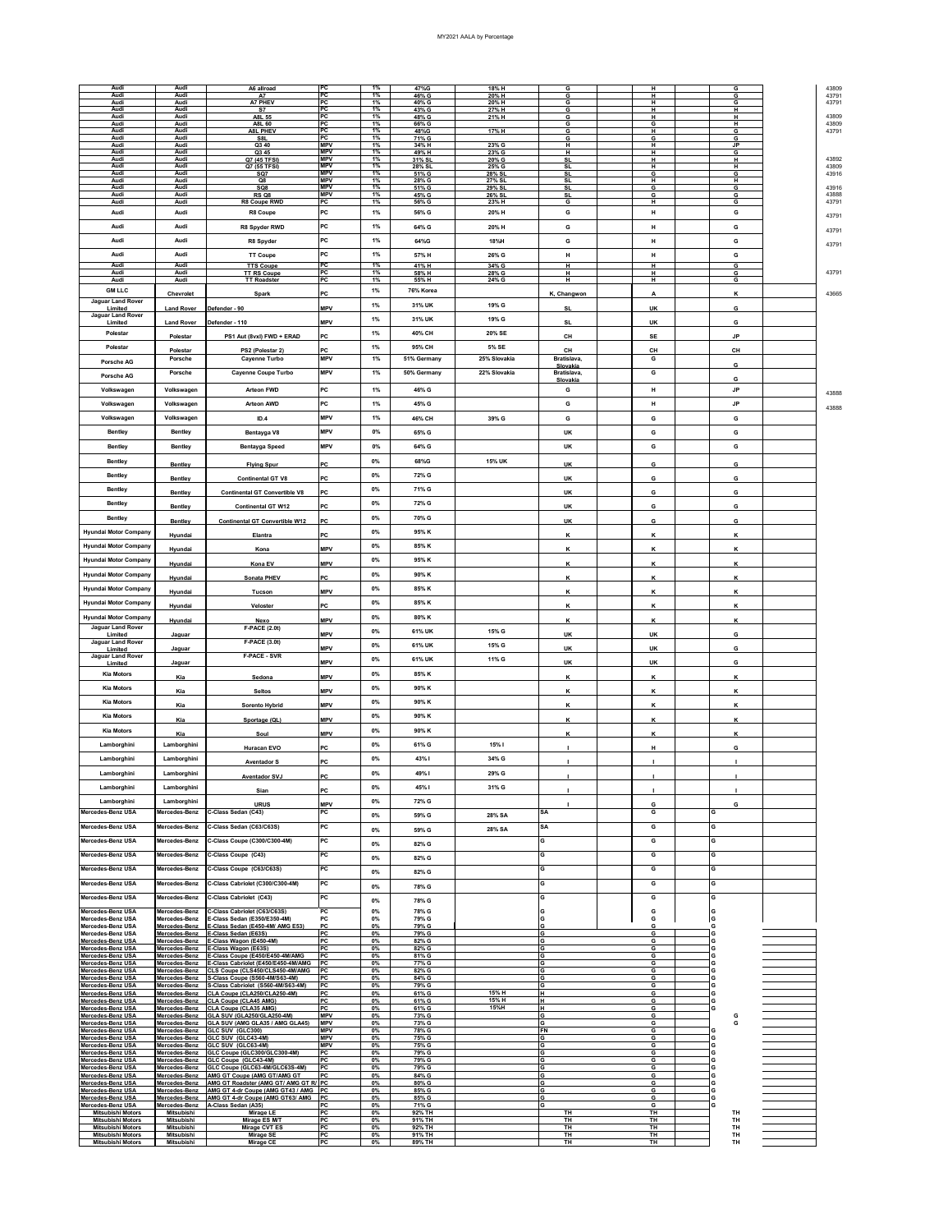| Audi                                                 | Audi                           | A6 allroad                                                               | PC                       | 1%          | 47%G             | 18% H            | G                       |                        | G         |  |
|------------------------------------------------------|--------------------------------|--------------------------------------------------------------------------|--------------------------|-------------|------------------|------------------|-------------------------|------------------------|-----------|--|
| Audi<br>Audi                                         | Audi<br>Audi                   | <b>A7</b><br>A7 PHEV                                                     | PC<br><b>PC</b>          | 1%<br>1%    | 46% G            | 20% H            | G                       | н                      | G         |  |
| Audi                                                 | Audi                           | S7                                                                       | PC                       | 1%          | 40% G<br>43% G   | 20% H<br>27% H   | G<br>G                  | н<br>н                 | G<br>н    |  |
| Audi<br>Audi                                         | Audi<br>Audi                   | A8L 55                                                                   | <b>PC</b><br>PC          | 1%<br>1%    | 48% G            | 21% H            | G                       | н                      | н<br>н    |  |
| Audi                                                 | Audi                           | A8L 60<br><b>A8L PHEV</b>                                                | PC                       | 1%          | 66% G<br>48%G    | 17% H            | G<br>G                  | G<br>н                 | G         |  |
| Audi<br>Audi                                         | Audi<br>Audi                   | S8L                                                                      | PC<br><b>MPV</b>         | 1%<br>1%    | 71% G            |                  | G                       | G                      | G         |  |
| Audi                                                 | Audi                           | Q3 40<br>Q3 45                                                           | <b>MPV</b>               | 1%          | 34% H<br>49% H   | 23% G<br>23% G   | H<br>н                  | н<br>н                 | JP.<br>G  |  |
| Audi<br>Audi                                         | Audi                           | Q7 (45 TFSI)                                                             | <b>MPV</b><br><b>MPV</b> | 1%<br>1%    | 31% SL           | 20% G            | <b>SL</b>               | н                      | H         |  |
| Audi                                                 | Audi<br>Audi                   | Q7 (55 TFSI)<br>SQ7                                                      | <b>MPV</b>               | 1%          | 28% SL<br>51% G  | 25% G<br>28% SL  | <b>SL</b><br><b>SL</b>  | н<br>G                 | н<br>G    |  |
| Audi                                                 | Audi                           | Q8                                                                       | <b>MPV</b><br><b>MPV</b> | 1%          | 28% G            | 27% SL           | <b>SL</b>               | н                      | н         |  |
| Audi<br>Audi                                         | Audi<br>Audi                   | SQ8<br><b>RS Q8</b>                                                      | <b>MPV</b>               | 1%<br>1%    | 51% G<br>45% G   | 29% SL<br>26% SL | <b>SL</b><br>SL         | G<br>G                 | G<br>G    |  |
| Audi                                                 | Audi                           | R8 Coupe RWD                                                             | PC                       | 1%          | 56% G            | 23% H            | G                       | н                      | G         |  |
| Audi                                                 | Audi                           | R8 Coupe                                                                 | PC                       | 1%          | 56% G            | 20% H            | G                       | н                      | G         |  |
| Audi                                                 | Audi                           | R8 Spyder RWD                                                            | PC                       | 1%          | 64% G            | 20% H            | G                       | н                      | G         |  |
|                                                      |                                |                                                                          |                          |             |                  |                  |                         |                        |           |  |
| Audi                                                 | Audi                           | R8 Spyder                                                                | PC                       | 1%          | 64%G             | 18%H             | G                       | н                      | G         |  |
| Audi                                                 | Audi                           | <b>TT Coupe</b>                                                          | PC                       | 1%          | 57% H            | 26% G            | н                       | н                      | G         |  |
| Audi                                                 | Audi                           | <b>TTS Coupe</b>                                                         | PC                       | 1%          | 41% H            | 34% G            | н                       | н                      | G         |  |
| Audi<br>Audi                                         | Audi<br>Audi                   | <b>TT RS Coupe</b><br><b>TT Roadster</b>                                 | PC<br>PC                 | 1%<br>1%    | 58% H<br>55% H   | 28% G<br>24% G   | н<br>н                  | н<br>н                 | G<br>G    |  |
|                                                      |                                |                                                                          |                          |             |                  |                  |                         |                        |           |  |
| <b>GM LLC</b>                                        | Chevrolet                      | Spark                                                                    | PC                       | $1\%$       | 76% Korea        |                  | K, Changwon             | A                      | к         |  |
| Jaguar Land Rover<br>Limited                         | <b>Land Rover</b>              | Defender - 90                                                            | <b>MPV</b>               | $1\%$       | 31% UK           | 19% G            | SL                      | UK                     | G         |  |
| Jaguar Land Rover                                    |                                |                                                                          | <b>MPV</b>               | $1\%$       | 31% UK           | 19% G            | <b>SL</b>               | UK                     | G         |  |
| Limited<br>Polestar                                  | <b>Land Rover</b>              | Defender - 110                                                           |                          | 1%          | 40% CH           | 20% SE           |                         |                        |           |  |
|                                                      | Polestar                       | PS1 Aut (8vxl) FWD + ERAD                                                | PC                       |             |                  |                  | CH                      | <b>SE</b>              | <b>JP</b> |  |
| Polestar                                             | Polestar                       | PS2 (Polestar 2)                                                         |                          | 1%          | 95% CH           | 5% SE            | CН                      | CH                     | CH        |  |
| <b>Porsche AG</b>                                    | Porsche                        | <b>Cayenne Turbo</b>                                                     | <b>MPV</b>               | 1%          | 51% Germany      | 25% Slovakia     | Bratislava,             | G                      |           |  |
|                                                      | Porsche                        | Cayenne Coupe Turbo                                                      | <b>MPV</b>               | 1%          | 50% Germany      | 22% Slovakia     | Slovakia<br>Bratislava, | G                      | G         |  |
| <b>Porsche AG</b>                                    |                                |                                                                          |                          |             |                  |                  | Slovakia                |                        | G         |  |
| Volkswagen                                           | Volkswagen                     | <b>Arteon FWD</b>                                                        | PC                       | 1%          | 46% G            |                  | G                       | н                      | <b>JP</b> |  |
| Volkswagen                                           | Volkswagen                     | <b>Arteon AWD</b>                                                        | PC                       | 1%          | 45% G            |                  | G                       | н                      | <b>JP</b> |  |
|                                                      |                                |                                                                          |                          |             |                  |                  |                         |                        |           |  |
| Volkswagen                                           | Volkswagen                     | ID.4                                                                     | <b>MPV</b>               | 1%          | 46% CH           | 39% G            | G                       | G                      | G         |  |
| Bentley                                              | Bentley                        | Bentayga V8                                                              | <b>MPV</b>               | 0%          | 65% G            |                  | UK                      | G                      | G         |  |
| Bentley                                              | Bentley                        |                                                                          | <b>MPV</b>               | 0%          | 64% G            |                  | UK                      | G                      | G         |  |
|                                                      |                                | <b>Bentayga Speed</b>                                                    |                          |             |                  |                  |                         |                        |           |  |
| Bentley                                              | Bentley                        | <b>Flying Spur</b>                                                       | PC                       | 0%          | 68%G             | 15% UK           | UK                      | G                      | G         |  |
| Bentley                                              |                                |                                                                          | <b>PC</b>                | 0%          | 72% G            |                  |                         | G                      | G         |  |
| Bentley                                              | Bentley                        | <b>Continental GT V8</b>                                                 |                          | 0%          | 71% G            |                  | UK                      |                        |           |  |
|                                                      | Bentley                        | <b>Continental GT Convertible V8</b>                                     | PC                       |             |                  |                  | <b>UK</b>               | G                      | G         |  |
| Bentley                                              | Bentley                        | <b>Continental GT W12</b>                                                | <b>PC</b>                | 0%          | 72% G            |                  | <b>UK</b>               | G                      | G         |  |
| Bentley                                              |                                |                                                                          |                          | 0%          | 70% G            |                  |                         |                        |           |  |
|                                                      | Bentley                        | <b>Continental GT Convertible W12</b>                                    | PC                       |             |                  |                  | UK                      | G                      | G         |  |
| <b>Hyundai Motor Company</b>                         | Hyundai                        | Elantra                                                                  | PC                       | 0%          | 95% K            |                  | К                       | ĸ                      | К         |  |
| Hyundai Motor Company                                | Hyundai                        | Kona                                                                     | <b>MPV</b>               | 0%          | 85% K            |                  | к                       |                        | К         |  |
| Hyundai Motor Company                                |                                |                                                                          |                          | 0%          | 95% K            |                  |                         |                        |           |  |
|                                                      | Hyundai                        | Kona EV                                                                  | MPV                      |             |                  |                  |                         | К                      | К         |  |
| Hyundai Motor Company                                | Hyundai                        | Sonata PHEV                                                              | PC                       | 0%          | 90% K            |                  | ĸ                       | κ                      | к         |  |
| Hyundai Motor Company                                | Hyundai                        | Tucson                                                                   | <b>MPV</b>               | $0\%$       | 85% K            |                  | ĸ                       | κ                      | к         |  |
| <b>Hyundai Motor Company</b>                         |                                |                                                                          |                          | $0\%$       | 85% K            |                  |                         |                        |           |  |
|                                                      | Hyundai                        | Veloster                                                                 | PC                       |             |                  |                  |                         |                        |           |  |
| <b>Hyundai Motor Company</b>                         | Hyundai                        | Nexo                                                                     | <b>MPV</b>               | $0\%$       | 80% K            |                  | к                       | к                      | к         |  |
| Jaguar Land Rover                                    |                                | <b>F-PACE (2.0t)</b>                                                     |                          | 0%          | 61% UK           | 15% G            |                         |                        |           |  |
| Limited<br>Jaguar Land Rover                         | Jaguar                         | F-PACE (3.0t)                                                            | <b>MPV</b>               |             |                  |                  | UK                      | UK                     | G         |  |
| Limited                                              | Jaguar                         |                                                                          | <b>MPV</b>               | 0%          | 61% UK           | 15% G            | UK                      | UK                     | G         |  |
| Jaguar Land Rover<br>Limited                         | Jaguar                         | <b>F-PACE - SVR</b>                                                      | <b>MPV</b>               | $0\%$       | 61% UK           | 11% G            | <b>UK</b>               | UK                     | G         |  |
| <b>Kia Motors</b>                                    |                                |                                                                          |                          | 0%          | 85% K            |                  |                         |                        |           |  |
|                                                      | Kia                            | Sedona                                                                   | <b>MPV</b>               |             |                  |                  | к                       | к                      | к         |  |
| <b>Kia Motors</b>                                    | Kia                            | Seltos                                                                   | <b>MPV</b>               | 0%          | 90% K            |                  |                         |                        | К         |  |
| <b>Kia Motors</b>                                    | Kia                            | Sorento Hybrid                                                           | MPV                      | 0%          | 90% K            |                  | К                       |                        | К         |  |
| <b>Kia Motors</b>                                    |                                |                                                                          |                          | 0%          | 90% K            |                  |                         |                        |           |  |
|                                                      | Kia                            | Sportage (QL)                                                            | MPV                      |             |                  |                  | Κ                       | κ                      | κ         |  |
| <b>Kia Motors</b>                                    | Kia                            | Soul                                                                     | <b>MPV</b>               | 0%          | 90% K            |                  |                         |                        |           |  |
| Lamborghini                                          | Lamborghini                    | Huracan EVO                                                              | PC                       | 0%          | 61% G            | 15% I            |                         | н                      | G         |  |
|                                                      |                                |                                                                          |                          |             |                  |                  |                         |                        |           |  |
| Lamborghini                                          | Lamborghini                    | <b>Aventador S</b>                                                       | PC                       | $0\%$       | 43% I            | 34% G            |                         |                        |           |  |
| Lamborghini                                          | Lamborghini                    | ventador SVJ                                                             |                          | 0%          | 49% I            | 29% G            |                         |                        |           |  |
| Lamborghini                                          | Lamborghini                    |                                                                          | PC                       | $0\%$       | 45% I            | 31% G            |                         |                        |           |  |
|                                                      |                                | Sian                                                                     |                          |             |                  |                  |                         |                        |           |  |
| Lamborghini                                          | Lamborghini                    | <b>URUS</b>                                                              | <b>MPV</b>               | $0\%$       | 72% G            |                  |                         | G                      | G         |  |
| Mercedes-Benz USA                                    | Mercedes-Benz                  | C-Class Sedan (C43)                                                      | PC                       | 0%          | 59% G            | 28% SA           | <b>SA</b>               | G                      | G         |  |
| Mercedes-Benz USA                                    | Mercedes-Benz                  | C-Class Sedan (C63/C63S)                                                 | PC                       | $0\%$       | 59% G            | 28% SA           | <b>SA</b>               | G                      | G         |  |
| Mercedes-Benz USA                                    | Mercedes-Benz                  | C-Class Coupe (C300/C300-4M)                                             | PC                       |             |                  |                  | G                       | G                      | G         |  |
|                                                      |                                |                                                                          |                          | 0%          | 82% G            |                  |                         |                        |           |  |
| Mercedes-Benz USA                                    | Mercedes-Benz                  | C-Class Coupe (C43)                                                      | PC                       | $0\%$       | 82% G            |                  | G                       | G                      | G         |  |
| Mercedes-Benz USA                                    | Mercedes-Benz                  | C-Class Coupe (C63/C63S)                                                 | PC                       | $0\%$       | 82% G            |                  | G                       | G                      | G         |  |
| Mercedes-Benz USA                                    | Mercedes-Benz                  | C-Class Cabriolet (C300/C300-4M)                                         | PC                       |             |                  |                  | G                       | G                      | G         |  |
|                                                      |                                |                                                                          |                          | $0\%$       | 78% G            |                  |                         |                        |           |  |
| Mercedes-Benz USA                                    | Mercedes-Benz                  | C-Class Cabriolet (C43)                                                  | PC                       | 0%          | 78% G            |                  | G                       | G                      | G         |  |
| Mercedes-Benz USA                                    | Mercedes-Benz                  | C-Class Cabriolet (C63/C63S)                                             | PC                       | $0\%$       | 78% G            |                  | G                       | G                      | G         |  |
| Mercedes-Benz USA<br>Mercedes-Benz USA               | Mercedes-Benz<br>Mercedes-Benz | E-Class Sedan (E350/E350-4M)<br>E-Class Sedan (E450-4M/ AMG E53)         | PC<br>PC                 | 0%<br>0%    | 79% G<br>79% G   |                  | G<br>G                  | G<br>G                 | G<br>G    |  |
| Mercedes-Benz USA                                    | Mercedes-Benz                  | E-Class Sedan (E63S)                                                     | PC                       | 0%          | 79% G            |                  | G                       | G                      | G         |  |
| Mercedes-Benz USA                                    | Mercedes-Benz                  | E-Class Wagon (E450-4M)                                                  | PC                       | $0\%$       | 82% G            |                  | G                       | G                      | G         |  |
| Mercedes-Benz USA<br>Mercedes-Benz USA               | Mercedes-Benz<br>Mercedes-Benz | E-Class Wagon (E63S)<br>E-Class Coupe (E450/E450-4M/AMG                  | PC<br>PC                 | 0%<br>0%    | 82% G<br>81% G   |                  | G<br>G                  | G<br>G                 | G<br>G    |  |
| Mercedes-Benz USA                                    | Mercedes-Benz                  | E-Class Cabriolet (E450/E450-4M/AMG)                                     | PC                       | 0%          | 77% G            |                  | G                       | G                      | G         |  |
| Mercedes-Benz USA                                    | Mercedes-Benz                  | CLS Coupe (CLS450/CLS450-4M/AMG                                          | <b>IPC</b>               | 0%          | 82% G            |                  | G                       | G                      | G         |  |
| Mercedes-Benz USA<br>Mercedes-Benz USA               | Mercedes-Benz<br>Mercedes-Benz | S-Class Coupe (S560-4M/S63-4M)<br>S-Class Cabriolet (S560-4M/S63-4M)     | PC<br>PC                 | 0%<br>0%    | 84% G<br>79% G   |                  | G<br>G                  | G<br>G                 | G<br>G    |  |
| Mercedes-Benz USA                                    | Mercedes-Benz                  | CLA Coupe (CLA250/CLA250-4M)                                             | PC                       | $0\%$       | 61% G            | 15% H            | H                       | G                      | G         |  |
| Mercedes-Benz USA<br>Mercedes-Benz USA               | Mercedes-Benz                  | CLA Coupe (CLA45 AMG)                                                    | PC<br><b>PC</b>          | 0%<br>0%    | 61% G<br>61% G   | 15% H<br>15%H    | H<br>H                  | G<br>G                 | G<br>G    |  |
| Mercedes-Benz USA                                    | Mercedes-Benz<br>Mercedes-Benz | CLA Coupe (CLA35 AMG)<br>GLA SUV (GLA250/GLA250-4M)                      | <b>MPV</b>               | 0%          | 73% G            |                  | G                       | G                      | G         |  |
| Mercedes-Benz USA                                    | Mercedes-Benz                  | GLA SUV (AMG GLA35 / AMG GLA45)                                          | <b>MPV</b>               | 0%          | 73% G            |                  | G                       | G                      | G         |  |
| Mercedes-Benz USA<br>Mercedes-Benz USA               | Mercedes-Benz                  | GLC SUV (GLC300)<br>GLC SUV (GLC43-4M)                                   | <b>MPV</b><br><b>MPV</b> | $0\%$<br>0% | 78% G<br>75% G   |                  | FN<br>G                 | G<br>G                 | G<br>G    |  |
| Mercedes-Benz USA                                    | Mercedes-Benz<br>Mercedes-Benz | GLC SUV (GLC63-4M)                                                       | <b>MPV</b>               | 0%          | 75% G            |                  | G                       | G                      | G         |  |
| Mercedes-Benz USA                                    | Mercedes-Benz                  | GLC Coupe (GLC300/GLC300-4M)                                             | PC                       | 0%          | 79% G            |                  | G                       | G                      | G         |  |
| Mercedes-Benz USA<br>Mercedes-Benz USA               | Mercedes-Benz<br>Mercedes-Benz | GLC Coupe (GLC43-4M)<br>GLC Coupe (GLC63-4M/GLC63S-4M)                   | PC<br>PC                 | 0%<br>$0\%$ | 79% G<br>79% G   |                  | G<br>۱G                 | G<br>G                 | G<br>G    |  |
| Mercedes-Benz USA                                    | Mercedes-Benz                  | AMG GT Coupe (AMG GT/AMG GT                                              | <b>IPC</b>               | 0%          | 84% G            |                  | ١G                      | G                      | G         |  |
| Mercedes-Benz USA                                    | Mercedes-Benz                  | AMG GT Roadster (AMG GT/ AMG GT R/ PC                                    |                          | 0%          | 80% G            |                  | G                       | G                      | G         |  |
| Mercedes-Benz USA<br>Mercedes-Benz USA               | tercedes-Benz<br>Mercedes-Benz | AMG GT 4-dr Coupe (AMG GT43 / AMG PC<br>AMG GT 4-dr Coupe (AMG GT63/ AMG | PC                       | 0%<br>0%    | 85% G<br>85% G   |                  | G<br>G                  | G<br>G                 | G<br>G    |  |
| Mercedes-Benz USA                                    | lercedes-Benz                  | A-Class Sedan (A35)                                                      | PC                       | 0%          | 71% G            |                  | G                       | G                      | G         |  |
| <b>Mitsubishi Motors</b>                             | Mitsubishi<br>Mitsubishi       | Mirage LE                                                                | PC<br>PC                 | 0%          | 92% TH           |                  | TH<br>TH                | <b>TH</b><br><b>TH</b> | <b>TH</b> |  |
| <b>Mitsubishi Motors</b><br>Mitsubishi Motors        | Mitsubishi                     | Mirage ES M/T<br>Mirage CVT ES                                           | PC                       | 0%<br>$0\%$ | 91% TH<br>92% TH |                  | <b>TH</b>               | <b>TH</b>              | TH<br>TH  |  |
|                                                      |                                | Mirage SE                                                                | PC                       | 0%          | 91% TH           |                  | TH                      | TH                     | TH        |  |
| <b>Mitsubishi Motors</b><br><b>Mitsubishi Motors</b> | Mitsubishi<br>Mitsubishi       | Mirage CE                                                                | PC                       | $0\%$       | 89% TH           |                  | TH                      | TH                     | TH        |  |